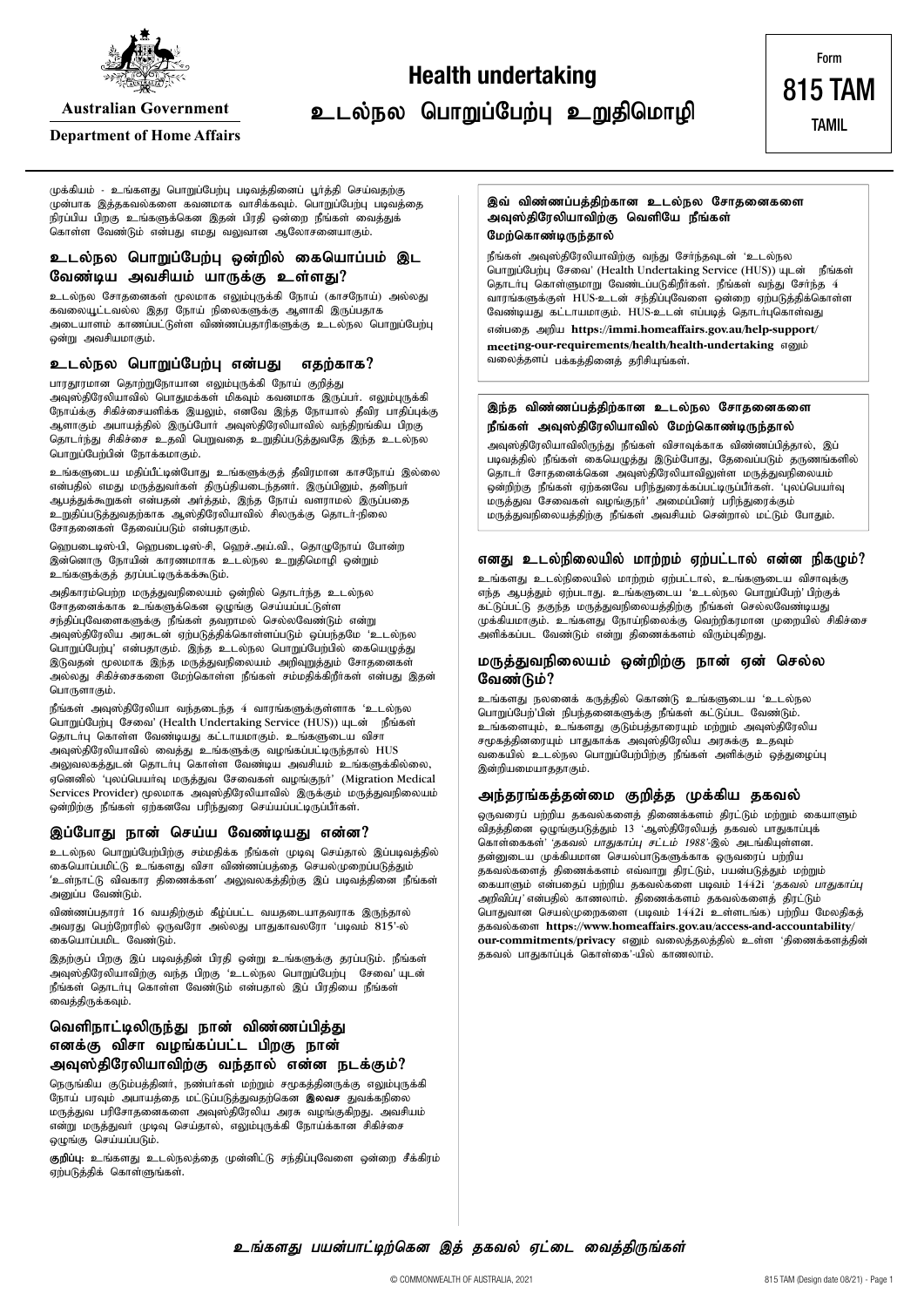

**Australian Government** 

#### **Department of Home Affairs**

உடல்நல பொறுப்பேற்பு உறுதிமொழி

**Health undertaking**

815 TAM TAMIL

Form

முக்கியம் - உங்களது பொறுப்பேற்பு படிவத்தினைப் பூர்த்தி செய்வதற்கு முன்பாக இத்தகவல்களை கவனமாக வாசிக்கவும். பொறுப்பேற்பு படிவத்தை .<br>நிரப்பிய பிறகு உங்களுக்கென இதன் பிரதி ஒன்றை நீங்கள் வைத்துக் .<br>கொள்ள வேண்டும் என்பது எமது வலுவான ஆலோசனையாகும்.

### **உடல்நல பொறுப்பேற்பு ஒன்றில் கையொப்பம் இட** வேண்டிய அவசியம் யாருக்கு உள்ளது?

உடல்நல சோதனைகள் மூலமாக எலும்புருக்கி நோய் (காசநோய்) அல்லது கவலையூட்டவல்ல இதர நோய் நிலைகளுக்கு ஆளாகி இருப்பதாக அடையாளம் காணப்பட்டுள்ள விண்ணப்பதாரிகளுக்கு உடல்நல பொறுப்பேற்பு ஒன்று அவசியமாகும்.

#### உடல்நல பொறுப்பேற்பு என்பது எதற்காக?

பாரதூரமான தொற்றுநோயான எலும்புருக்கி நோய் குறித்து .<br>அவுஸ்திரேலியாவில் பொதுமக்கள் மிகவும் கவனமாக இருப்பா். எலும்புருக்கி நோய்க்கு சிகிச்சையளிக்க இயலும், எனவே இந்த நோயால் தீவிர பாதிப்புக்கு ஆளாகும் அபாயத்தில் இருப்போர் அவுஸ்திரேலியாவில் வந்திறங்கிய பிறகு தொடாந்து சிகிச்சை உதவி பெறுவதை உறுதிப்படுத்துவதே இந்த உடல்நல

பொறுப்பேற்பின் நோக்கமாகும். உங்களுடைய மதிப்பீட்டின்போது உங்களுக்குத் தீவிரமான காசநோய் இல்லை என்பதில் எமது மருத்துவா்கள் திருப்தியடைந்தனா். இருப்பினும், தனிநபா் ஆபத்துக்கூறுகள் என்பதன் அர்த்தம், இந்த நோய் வளராமல் இருப்பதை உறுதிப்படுத்துவதற்காக ஆஸ்திரேலியாவில் சிலருக்கு தொடா-நிலை சோதனைகள் தேவைப்படும் என்பதாகும்.

ஹெபடைடிஸ்-பி, ஹெபடைடிஸ்-சி, ஹெச்.அய்.வி., தொழுநோய் போன்ற இன்னொரு நோயின் காரணமாாக உடல்நல உறுதிமொழி ஒன்றும் உங்களுக்குத் தரப்பட்டிருக்கக்கூடும்.

அதிகாரம்பெற்ற மருத்துவநிலையம் ஒன்றில் தொடர்ந்த உடல்நல ு.<br>சோதனைக்காக உங்களுக்கென ஒழுங்கு செய்யப்பட்டுள்ள சந்திப்புவேளைகளுக்கு நீங்கள் தவறாமல் செல்லவேண்டும் என்று mT];jpNuypa muRld; Vw;gLj;jpf;nfhs;sg;gLk; xg;ge;jNk 'cly;ey பொறுப்பேற்பு' என்பதாகும். இந்த உடல்நல பொறுப்பேற்பில் கையெழுத்து ,<br>இடுவதன் மூலமாக இந்த மருத்துவநிலையம் அறிவுறுத்தும் சோதனைகள் அல்லது சிகிச்சைகளை மேற்கொள்ள நீங்கள் சம்மதிக்கிறீர்கள் என்பது இதன் பொருளாகும்.

நீங்கள் அவுஸ்திரேலியா வந்தடைந்த  $4$  வாரங்களுக்குள்ளாக 'உடல்நல ்பொறுப்பேற்பு சேவை' (Health Undertaking Service (HUS)) யுடன் நீங்கள் தொடர்பு கொள்ள வேண்டியது கட்டாயமாகும். உங்களுடைய விசா  $\widetilde{\mathcal{P}}$ வுஸ்திரேலியாவில் வைத்து உங்களுக்கு வழங்கப்பட்டிருந்தால்  $HUS$ அலுவலகத்துடன் தொடா்பு கொள்ள வேண்டிய அவசியம் உங்களுக்கில்லை. ஏனெனில் 'புலப்பெயாவு மருத்துவ சேவைகள் வழங்குநா' (Migration Medical  $S$ ervices Provider) மூலமாக அவுஸ்திரேலியாவில் இருக்கும் மருத்துவநிலையம் ணறிற்கு நீங்கள் ஏற்கனவே பரிந்துரை செய்யப்பட்டிருப்பீர்கள்.

#### இப்போது நான் செய்ய வேண்டியது என்ன?

உடல்நல பொறுப்பேற்பிற்கு சம்மதிக்க நீங்கள் முடிவு செய்தால் இப்படிவத்தில் கையொப்பமிட்டு உங்களது விசா விண்ணப்பத்தை செயல்முறைப்படுத்தும் 'உள்நாட்டு விவகார திணைக்கள' அலுவலகத்திற்கு இப் படிவத்தினை நீங்கள் அனுப்ப வேண்டும்.

விண்ணப்பதாரா் 16 வயதிற்கும் கீழ்ப்பட்ட வயதடையாதவராக இருந்தால் அவரது பெற்றோரில் ஒருவரோ அல்லது பாதுகாவலரோ 'படிவம்  $815'$ -ல் கையொப்பமிட வேண்டும்.

இதற்குப் பிறகு இப் படிவத்தின் பிரதி ஒன்று உங்களுக்கு தரப்படும். நீங்கள் அவுஸ்திரேலியாவிற்கு வந்த பிறகு 'உடல்நல பொறுப்பேற்பு சேவை'யுடன் நீங்கள் தொடர்பு கொள்ள வேண்டும் என்பதால் இப் பிரதியை நீங்கள் வைத்திருக்கவும்.

### வெளிநாட்டிலிருந்து நான் விண்ணப்பித்து எனக்கு விசா வழங்கப்பட்ட பிறகு நான் அவுஸ்திரேலியாவிற்கு வந்தால் என்ன நடக்கும்?

நெருங்கிய குடும்பத்தினா், நண்பா்கள் மற்றும் சமூகத்தினருக்கு எலும்புருக்கி நோய் பரவும் அபாயத்தை மட்டுப்படுத்துவதற்கென **இலவச** துவக்கநிலை .<br>மருத்துவ பரிசோதனைகளை அவுஸ்திரேலிய அரசு வழங்குகிறது. அவசியம் என்று மருத்துவா முடிவு செய்தால், எலும்புருக்கி நோய்க்கான சிகிச்சை லுழங்கு செய்யப்படும்.

குறிப்பு: உங்களது உடல்நலத்தை முன்னிட்டு சந்திப்புவேளை ஒன்றை சீக்கிரம் ு:<br>ஏற்படுத்திக் கொள்ளுங்கள்.

இவ் விண்ணப்பத்திற்கான உடல்நல சோதனைகளை அவுஸ்திரேலியாவிற்கு வெளியே நீங்கள் மேற்கொண்டிருந்தால்

நீங்கள் அவுஸ்திரேலியாவிற்கு வந்து சோ்ந்தவுடன் 'உடல்நல பொறுப்பேற்பு சேவை' (Health Undertaking Service (HUS)) யுடன் நீங்கள் தொடர்பு கொள்ளுமாறு வேண்டப்படுகிறீர்கள். நீங்கள் வந்து சேர்ந்த 4 வாரங்களுக்குள் HUS-உடன் சந்திப்புவேளை ஒன்றை ஏற்படுத்திக்கொள்ள வேண்டியது கட்டாயமாகும். HUS-உடன் எப்படித் தொடா்புகொள்வது என்பதை அறிய [https://immi.homeaffairs.gov.au/help-support/](https://immi.homeaffairs.gov.au/help-support/meeting-our-requirements/health/health-undertaking) **[meeting-our-requirements/health/health-undertaking](https://immi.homeaffairs.gov.au/help-support/meeting-our-requirements/health/health-undertaking)**  $\sigma$ வலைத்தளப் பக்கத்தினைத் தரிசியுங்கள்.

#### இந்த விண்ணப்பத்திற்கான **உடல்நல சோதனைகளை** நீங்கள் அவுஸ்திரேலியாவில் மேற்கொண்டிருந்தால்

அவுஸ்திரேலியாவிலிருந்து நீங்கள் விசாவுக்காக விண்ணப்பித்தால், இப் படிவத்தில் நீங்கள் கையெழுத்து இடும்போது, தேவைப்படும் தருணங்களில் தொடர் சோதனைக்கென அவுஸ்திரேலியாவிலுள்ள மருத்துவநிலையம் .<br>ஒன்றிற்கு நீங்கள் ஏற்கனவே பரிந்துரைக்கப்பட்டிருப்பீர்கள். 'புலப்பெயர்வு .<br>மருத்துவ சேவைகள் வழங்குநா்' அமைப்பினர் பரிந்துரைக்கும் மருத்துவநிலையத்திற்கு நீங்கள் அவசியம் சென்றால் மட்டும் போதும்.

#### எனது உடல்நிலையில் மாற்றம் ஏற்பட்டால் என்ன நிகழும்?

உங்களது உடல்நிலையில் மாற்றம் ஏற்பட்டால், உங்களுடைய விசாவுக்கு எந்த ஆபத்தும் ஏற்படாது. உங்களுடைய 'உடல்நல பொறுப்பேற்'பிற்குக் கட்டுப்பட்டு தகுந்த மருத்துவநிலையத்திற்கு நீங்கள் செல்லவேண்டியது முக்கியமாகும். உங்களது நோய்நிலைக்கு வெற்றிகரமான முறையில் சிகிச்சை ுளிக்கப்பட வேண்டும் என்று திணைக்களம் விரும்புகிறது.

#### மருத்துவநிலையம் ஒன்றிற்கு நான் ஏன் செல்ல **வேண்டும்?**

உங்களது நலனைக் கருத்தில் கொண்டு உங்களுடைய 'உடல்நல பொறுப்பேற்'பின் நிபந்தனைகளுக்கு நீங்கள் கட்டுப்பட வேண்டும். உங்களையும், உங்களது குடும்பத்தாரையும் மற்றும் அவுஸ்திரேலிய சமூகத்தினரையும் பாதுகாக்க அவுஸ்திரேலிய அரசுக்கு உதவும் ் எதையில் உடல்நல பொறுப்பேற்பிற்கு நீங்கள் அளிக்கும் ஒத்துழைப்பு இன்றியமையாததாகும்.

#### அந்தரங்கத்தன்மை குறித்த முக்கிய **தகவல்**

ஒருவரைப் பற்றிய தகவல்களைத் திணைக்களம் திரட்டும் மற்றும் கையாளும்  $\frac{1}{2}$ விதத்தினை ஒழுங்குபடுத்தும்  $13$  'ஆஸ்திரேலியத் தகவல் பாதுகாப்புக் கொள்கைகள்' 'தகவல் பாதுகாப்பு சட்டம் 1988'-இல் அடங்கியுள்ளன. தன்னுடைய முக்கியமான செயல்பாடுகளுக்காக ஒருவரைப் பற்றிய தகவல்களைத் திணைக்களம் எவ்வாறு திரட்டும், பயன்படுத்தும் மற்றும் கையாளும் என்பதைப் பற்றிய தகவல்களை படிவம் 1442i *'தகவல் பாதுகாப்பு* அறிவிப்பு' என்பதில் காணலாம். திணைக்களம் தகவல்களைத் திரட்டும் பொதுவான செயல்முறைகளை (படிவம் 1442i உள்ளடங்க) பற்றிய மேலதிகத் jfty;fis **[https://www.homeaffairs.gov.au/access-and-accountability/](https://www.homeaffairs.gov.au/access-and-accountability/our-commitments/privacy)** [our-commitments/privacy](https://www.homeaffairs.gov.au/access-and-accountability/our-commitments/privacy) எனும் வலைத்தலத்தில் உள்ள 'திணைக்களத்தின் தகவல் பாதுகாப்புக் கொள்கை $\widetilde{\cdot}$ யில் காணலாம்.

உங்களது பயன்பாட்டிற்கென இத் தகவல் ஏட்டை வைத்திருங்கள்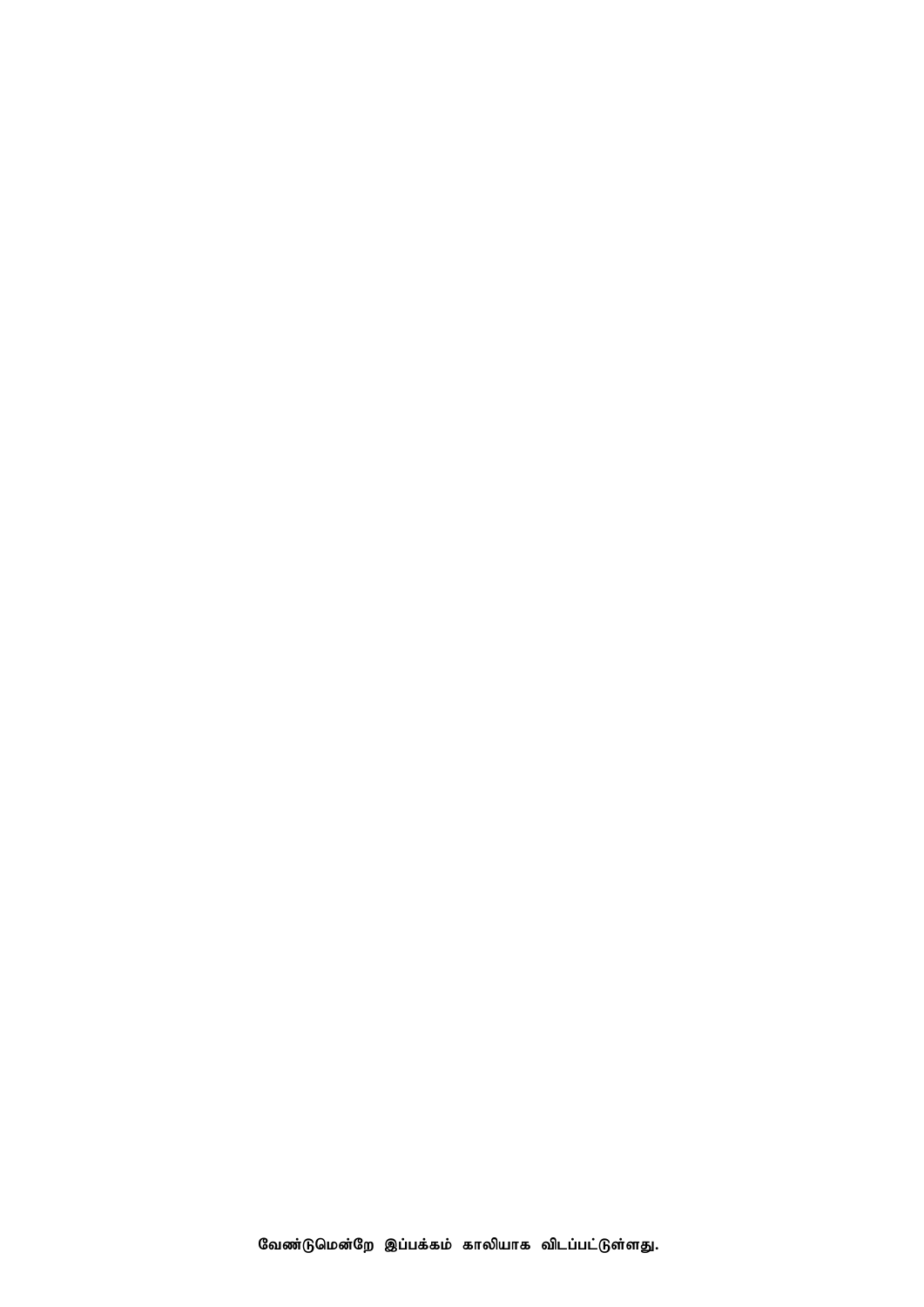வேண்டுமென்றே இப்பக்கம் காலியாக விடப்பட்டுள்ளது.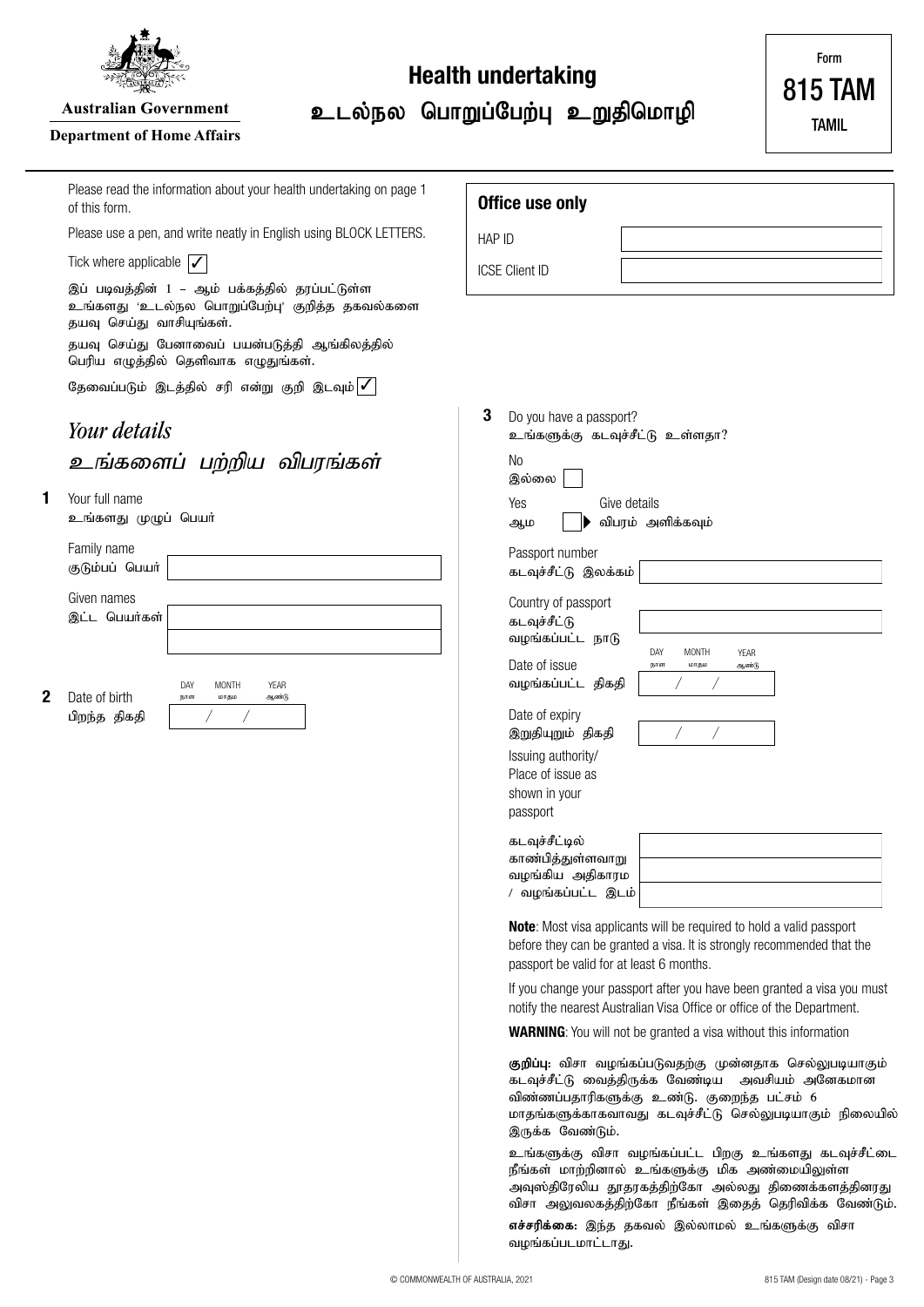

**Australian Government** 

### **Department of Home Affairs**

**1**

**2**

# **Health undertaking**

உடல்நல பொறுப்பேற்பு உறுதிமொழி

815 TAM

Form

| Australian Government<br>epartment of Home Affairs                                                                           | உடல்நல பொறுப்பேற்பு உறுதிமொழி<br><b>TAMIL</b>                                                                                                                                                                                                                                                                                                                                                                                                                                                                                                                                                                                                                                                                                                                                                                                                        |
|------------------------------------------------------------------------------------------------------------------------------|------------------------------------------------------------------------------------------------------------------------------------------------------------------------------------------------------------------------------------------------------------------------------------------------------------------------------------------------------------------------------------------------------------------------------------------------------------------------------------------------------------------------------------------------------------------------------------------------------------------------------------------------------------------------------------------------------------------------------------------------------------------------------------------------------------------------------------------------------|
| Please read the information about your health undertaking on page 1<br>of this form.                                         | Office use only                                                                                                                                                                                                                                                                                                                                                                                                                                                                                                                                                                                                                                                                                                                                                                                                                                      |
| Please use a pen, and write neatly in English using BLOCK LETTERS.                                                           | HAP ID                                                                                                                                                                                                                                                                                                                                                                                                                                                                                                                                                                                                                                                                                                                                                                                                                                               |
| Tick where applicable $\mathcal V$                                                                                           | <b>ICSE Client ID</b>                                                                                                                                                                                                                                                                                                                                                                                                                                                                                                                                                                                                                                                                                                                                                                                                                                |
| இப் படிவத்தின் 1 – ஆம் பக்கத்தில் தரப்பட்டுள்ள<br>உங்களது 'உடல்நல பொறுப்பேற்பு' குறித்த தகவல்களை<br>தயவு செய்து வாசியுங்கள். |                                                                                                                                                                                                                                                                                                                                                                                                                                                                                                                                                                                                                                                                                                                                                                                                                                                      |
| தயவு செய்து பேனாவைப் பயன்படுத்தி ஆங்கிலத்தில்<br>பெரிய எழுத்தில் தெளிவாக எழுதுங்கள்.                                         |                                                                                                                                                                                                                                                                                                                                                                                                                                                                                                                                                                                                                                                                                                                                                                                                                                                      |
| தேவைப்படும் இடத்தில் சரி என்று குறி இடவும் ✔                                                                                 |                                                                                                                                                                                                                                                                                                                                                                                                                                                                                                                                                                                                                                                                                                                                                                                                                                                      |
| Your details                                                                                                                 | 3<br>Do you have a passport?<br>உங்களுக்கு கடவுச்சீட்டு உள்ளதா?                                                                                                                                                                                                                                                                                                                                                                                                                                                                                                                                                                                                                                                                                                                                                                                      |
| உங்களைப் பற்றிய விபரங்கள்                                                                                                    | No<br>இல்லை                                                                                                                                                                                                                                                                                                                                                                                                                                                                                                                                                                                                                                                                                                                                                                                                                                          |
| Your full name<br>உங்களது முழுப் பெயா்                                                                                       | Yes<br>Give details<br>விபரம் அளிக்கவும்<br>ஆம                                                                                                                                                                                                                                                                                                                                                                                                                                                                                                                                                                                                                                                                                                                                                                                                       |
| Family name<br>குடும்பப் பெயர்                                                                                               | Passport number<br>கடவுச்சீட்டு இலக்கம்                                                                                                                                                                                                                                                                                                                                                                                                                                                                                                                                                                                                                                                                                                                                                                                                              |
| Given names<br>இட்ட பெயர்கள்<br><b>YEAR</b><br>DAY<br>MONTH<br>Date of birth<br>ஆண்டு<br>மாதம<br>நாள<br>பிறந்த திகதி         | Country of passport<br>கடவுச்சீட்டு<br>வழங்கப்பட்ட நாடு<br>DAY<br><b>MONTH</b><br><b>YEAR</b><br>Date of issue<br>மாதம<br>நாள<br>ஆண்டு<br>வழங்கப்பட்ட திகதி<br>Date of expiry<br>இறுதியுறும் திகதி<br>Issuing authority/<br>Place of issue as<br>shown in your<br>passport<br>கடவுச்சீட்டில்<br>காண்பித்துள்ளவாறு<br>வழங்கிய அதிகாரம<br>/ வழங்கப்பட்ட இடம்<br>Note: Most visa applicants will be required to hold a valid passport<br>before they can be granted a visa. It is strongly recommended that the<br>passport be valid for at least 6 months.<br>If you change your passport after you have been granted a visa you must<br>notify the nearest Australian Visa Office or office of the Department.<br><b>WARNING:</b> You will not be granted a visa without this information<br>குறிப்பு: விசா வழங்கப்படுவதற்கு முன்னதாக செல்லுபடியாகும் |

கடவுச்சீட்டு வைத்திருக்க வேண்டிய அவசியம் அனேகமான விண்ணப்பதாரிகளுக்கு உண்டு. குறைந்த பட்சம் 6 மாதங்களுக்காகவாவது கடவுச்சீட்டு செல்லுபடியாகும் நிலையில் இருக்க வேண்டும்.

உங்களுக்கு விசா வழங்கப்பட்ட பிறகு உங்களது கடவுச்சீட்டை நீங்கள் மாற்றினால் உங்களுக்கு மிக அண்மையிலுள்ள அவுஸ்திரேலிய தூதரகத்திற்கோ அல்லது திணைக்களத்தினரது விசா அலுவலகத்திற்கோ நீங்கள் இதைத் தெரிவிக்க வேண்டும்.

எச்சரிக்கை: இந்த தகவல் இல்லாமல் உங்களுக்கு விசா வழங்கப்படமாட்டாது.

© COMMONWEALTH OF AUSTRALIA, 2021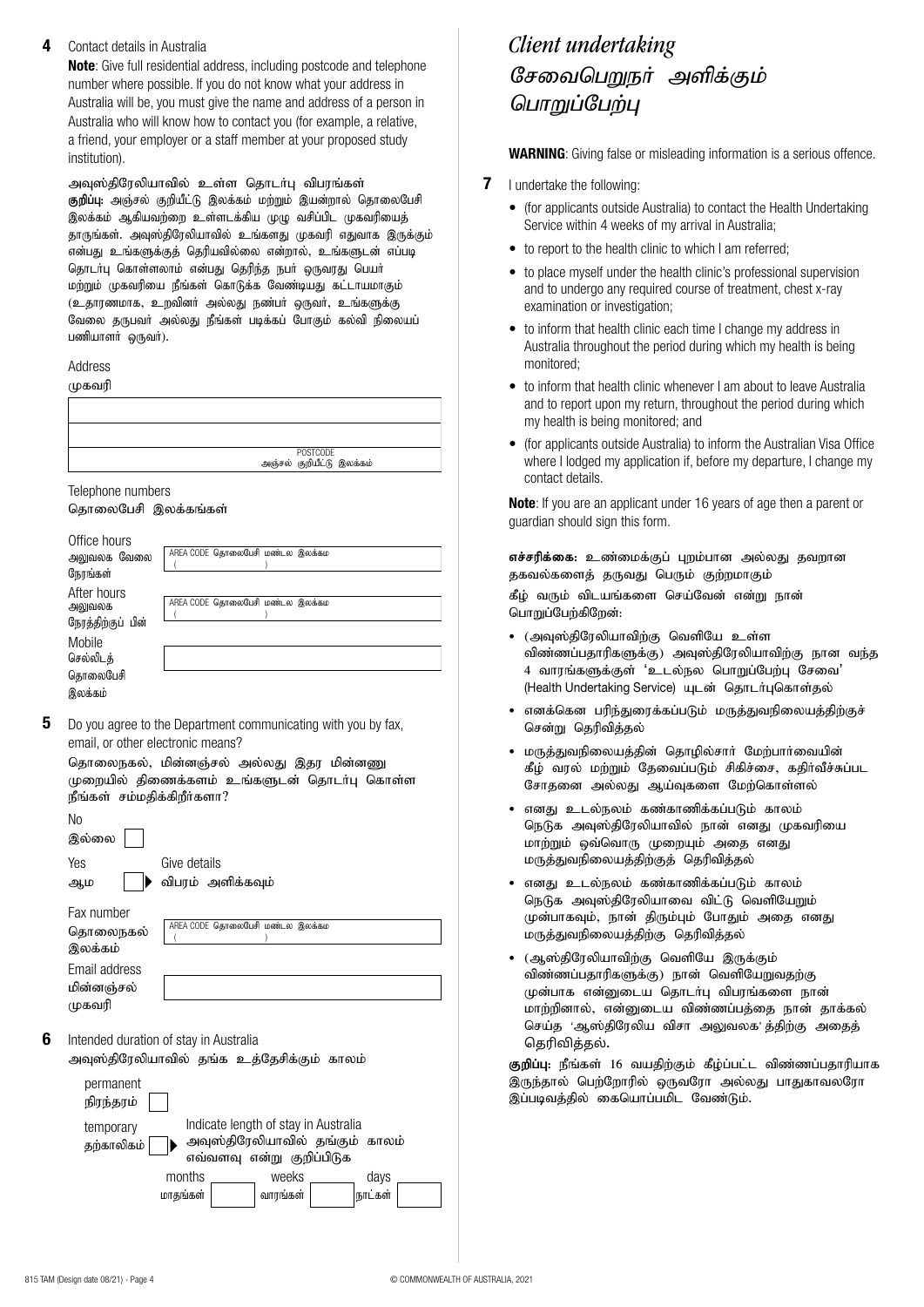#### **4** Contact details in Australia

**Note**: Give full residential address, including postcode and telephone number where possible. If you do not know what your address in Australia will be, you must give the name and address of a person in Australia who will know how to contact you (for example, a relative, a friend, your employer or a staff member at your proposed study institution).

அவுஸ்திரேலியாவில் உள்ள தொடர்பு விபரங்கள் **குறிப்பு:** அஞ்சல் குறியீட்டு இலக்கம் மற்றும் இயன்றால் தொலைபேசி இலக்கம் ஆகியவற்றை உள்ளடக்கிய முழு வசிப்பிட முகவரியைத் தாருங்கள். அவுஸ்திரேலியாவில் உங்களது முகவரி எதுவாக இருக்கும் என்பது உங்களுக்குத் தெரியவில்லை என்றால், உங்களுடன் எப்படி தொடா்பு கொள்ளலாம் என்பது தெரிந்த நபா் ஒருவரது பெயா் மற்றும் முகவரியை நீங்கள் கொடுக்க வேண்டியது கட்டாயமாகும் (உதாரணமாக, உறவினர் அல்லது நண்பர் ஒருவர், உங்களுக்கு வேலை தருபவர் அல்லது நீங்கள் படிக்கப் போகும் கல்வி நிலையப் பணியாளர் ஒருவர்).

### Address

முகவரி

POSTCODE<br>அஞ்சல் குறியீட்டு இலக்கம்

#### Telephone numbers

தொலைபேசி இலக்கங்கள்

| Office hours<br>அலுவலக வேலை<br>நேரங்கள்               | AREA CODE தொலைபேசி மண்டல இலக்கம |
|-------------------------------------------------------|---------------------------------|
| After hours<br>அலுவலக<br>நேரத்திற்குப் பின்<br>Mobile | AREA CODE தொலைபேசி மண்டல இலக்கம |
| செல்லிடக்<br>தொலைபேசி<br>இலக்கம்                      |                                 |

**5** Do you agree to the Department communicating with you by fax, email, or other electronic means?

| தொலைநகல், மின்னஞ்சல் அல்லது இதர மின்னணு     |  |
|---------------------------------------------|--|
| முறையில் திணைக்களம் உங்களுடன் தொடர்பு கொள்ள |  |
| நீங்கள் சம்மதிக்கிறீர்களா?                  |  |

| No<br>இல்லை                                                                                                                                                |
|------------------------------------------------------------------------------------------------------------------------------------------------------------|
| Yes<br>Give details                                                                                                                                        |
| விபரம் அளிக்கவும்<br>ஆம                                                                                                                                    |
| Fax number                                                                                                                                                 |
| AREA CODE தொலைபேசி மண்டல இலக்கம<br>தொலைநகல்                                                                                                                |
| இலக்கம்                                                                                                                                                    |
| Email address                                                                                                                                              |
| மின்னஞ்சல்                                                                                                                                                 |
| முகவரி                                                                                                                                                     |
| Intended duration of stay in Australia<br>அவுஸ்திரேலியாவில் தங்க உத்தேசிக்கும் காலம்                                                                       |
| permanent<br>நிரந்தரம்                                                                                                                                     |
| Indicate length of stay in Australia<br>temporary<br>அவுஸ்திரேலியாவில் தங்கும் காலம்<br>தற்காலிகம்<br>எவ்வளவு என்று குறிப்பிடுக<br>months<br>weeks<br>days |
| வாரங்கள்<br>நாட்கள்<br>மாதங்கள்                                                                                                                            |
|                                                                                                                                                            |
|                                                                                                                                                            |

# சேவைபெறுநர் அளிக்கும் பொறுப்பேற்பு *Client undertaking*

**WARNING**: Giving false or misleading information is a serious offence.

- **7** I undertake the following:
	- (for applicants outside Australia) to contact the Health Undertaking Service within 4 weeks of my arrival in Australia;
	- to report to the health clinic to which I am referred:
	- to place myself under the health clinic's professional supervision and to undergo any required course of treatment, chest x-ray examination or investigation;
	- to inform that health clinic each time I change my address in Australia throughout the period during which my health is being monitored;
	- to inform that health clinic whenever I am about to leave Australia and to report upon my return, throughout the period during which my health is being monitored; and
	- (for applicants outside Australia) to inform the Australian Visa Office where I lodged my application if, before my departure, I change my contact details.

**Note**: If you are an applicant under 16 years of age then a parent or guardian should sign this form.

**எச்சரிக்கை: உ**ண்மைக்குப் புறம்பான அல்லது தவறான தகவல்களைத் தருவது பெரும் குற்றமாகும்

கீழ் வரும் விடயங்களை செய்வேன் என்று நான் பொறுப்பேற்கிறேன்:

- (அவுஸ்திரேலியாவிற்கு வெளியே உள்ள விண்ணப்பதாரிகளுக்கு) அவுஸ்திரேலியாவிற்கு நான வந்த 4 வாரங்களுக்குள் 'உடல்நல பொறுப்பேற்பு சேவை' (Health Undertaking Service) யுடன் தொடர்புகொள்தல்
- எனக்கென பரிந்துரைக்கப்படும் மருத்துவநிலையத்திற்குச் சென்று தெரிவி**க்கல்**
- மருத்துவநிலையத்தின் தொழில்சார் மேற்பார்வையின் கீழ் வரல் மற்றும் தேவைப்படும் சிகிச்சை, கதிர்வீச்சுப்பட சோதனை அல்லது ஆய்வுகளை மேற்கொள்ளல்
- எனது உடல்நலம் கண்காணிக்கப்படும் காலம் நெடுக அவுஸ்திரேலியாவில் நான் எனது முகவரியை மாற்றும் ஒவ்வொரு முறையும் அதை எனது மருத்துவநிலையத்திற்குத் தெரிவித்தல்
- எனது உடல்நலம் கண்காணிக்கப்படும் காலம் நெடுக அவுஸ்திரேலியாவை விட்டு வெளியேறும் முன்பாகவும், நான் திரும்பும் போதும் அதை எனது மருத்துவநிலையத்திற்கு தெரிவித்தல்
- $\epsilon$  (ஆஸ்திரேலியாவிற்கு வெளியே இருக்கும் விண்ணப்பதாரிகளுக்கு) நான் வெளியேறுவதற்கு முன்பாக என்னுடைய தொடர்பு விபரங்களை நான் மாற்றினால், என்னுடைய விண்ணப்பத்தை நான் தாக்கல் செய்த 'ஆஸ்திரேலிய விசா அலுவலக' த்திற்கு அதைத் தெரிவித்தல்.

<mark>குறிப்பு</mark>: நீங்கள் 16 வயதிற்கும் கீழ்ப்பட்ட விண்ணப்பதாரியாக இருந்தால் பெற்றோரில் ஒருவரோ அல்லது பாதுகாவலரோ இப்படிவத்தில் கையொப்பமிட வேண்டும்.

**6**